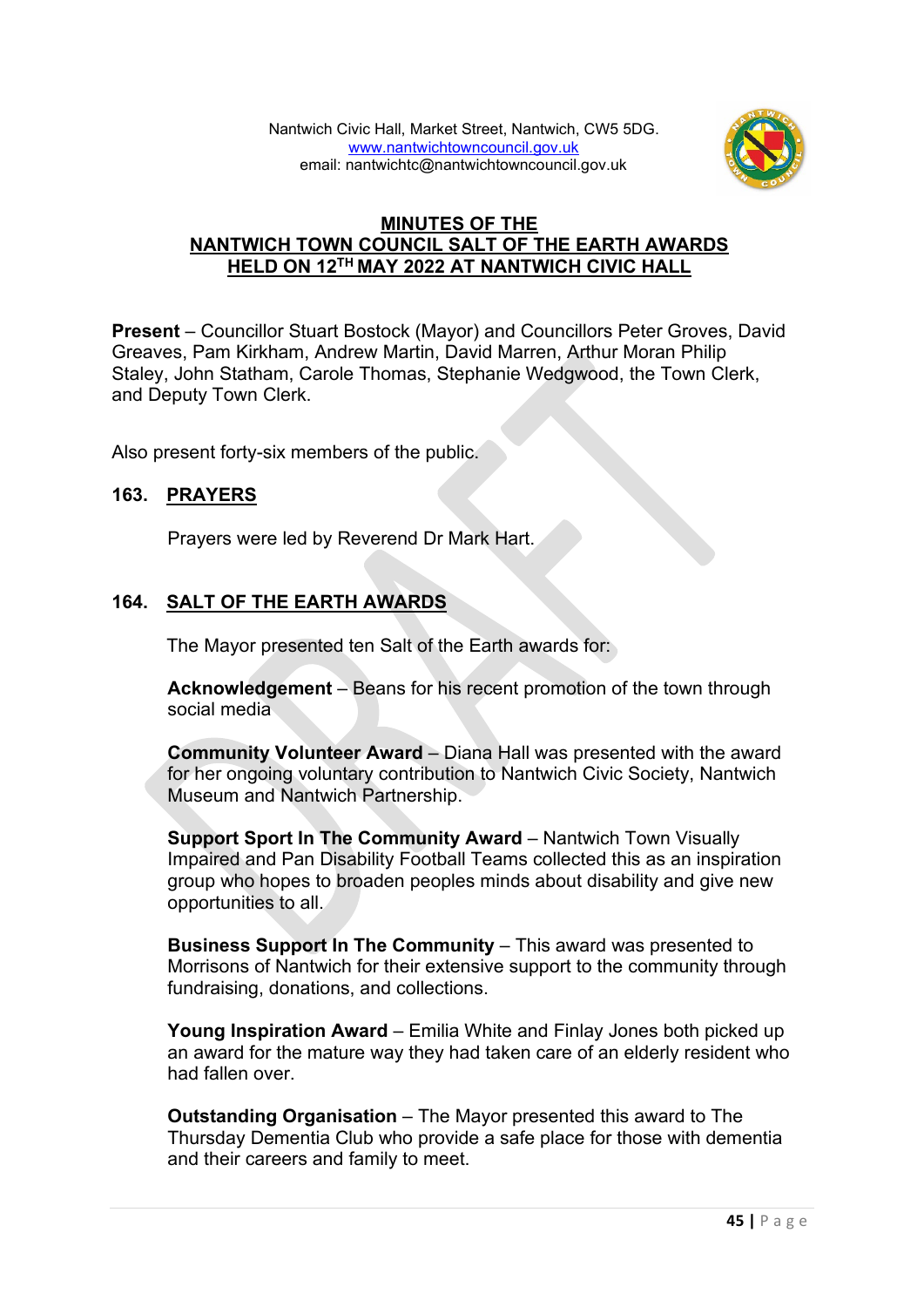

## **MINUTES OF THE NANTWICH TOWN COUNCIL SALT OF THE EARTH AWARDS HELD ON 12TH MAY 2022 AT NANTWICH CIVIC HALL**

**Present** – Councillor Stuart Bostock (Mayor) and Councillors Peter Groves, David Greaves, Pam Kirkham, Andrew Martin, David Marren, Arthur Moran Philip Staley, John Statham, Carole Thomas, Stephanie Wedgwood, the Town Clerk, and Deputy Town Clerk.

Also present forty-six members of the public.

## **163. PRAYERS**

Prayers were led by Reverend Dr Mark Hart.

# **164. SALT OF THE EARTH AWARDS**

The Mayor presented ten Salt of the Earth awards for:

**Acknowledgement** – Beans for his recent promotion of the town through social media

**Community Volunteer Award** – Diana Hall was presented with the award for her ongoing voluntary contribution to Nantwich Civic Society, Nantwich Museum and Nantwich Partnership.

**Support Sport In The Community Award** – Nantwich Town Visually Impaired and Pan Disability Football Teams collected this as an inspiration group who hopes to broaden peoples minds about disability and give new opportunities to all.

**Business Support In The Community** – This award was presented to Morrisons of Nantwich for their extensive support to the community through fundraising, donations, and collections.

**Young Inspiration Award** – Emilia White and Finlay Jones both picked up an award for the mature way they had taken care of an elderly resident who had fallen over.

**Outstanding Organisation** – The Mayor presented this award to The Thursday Dementia Club who provide a safe place for those with dementia and their careers and family to meet.